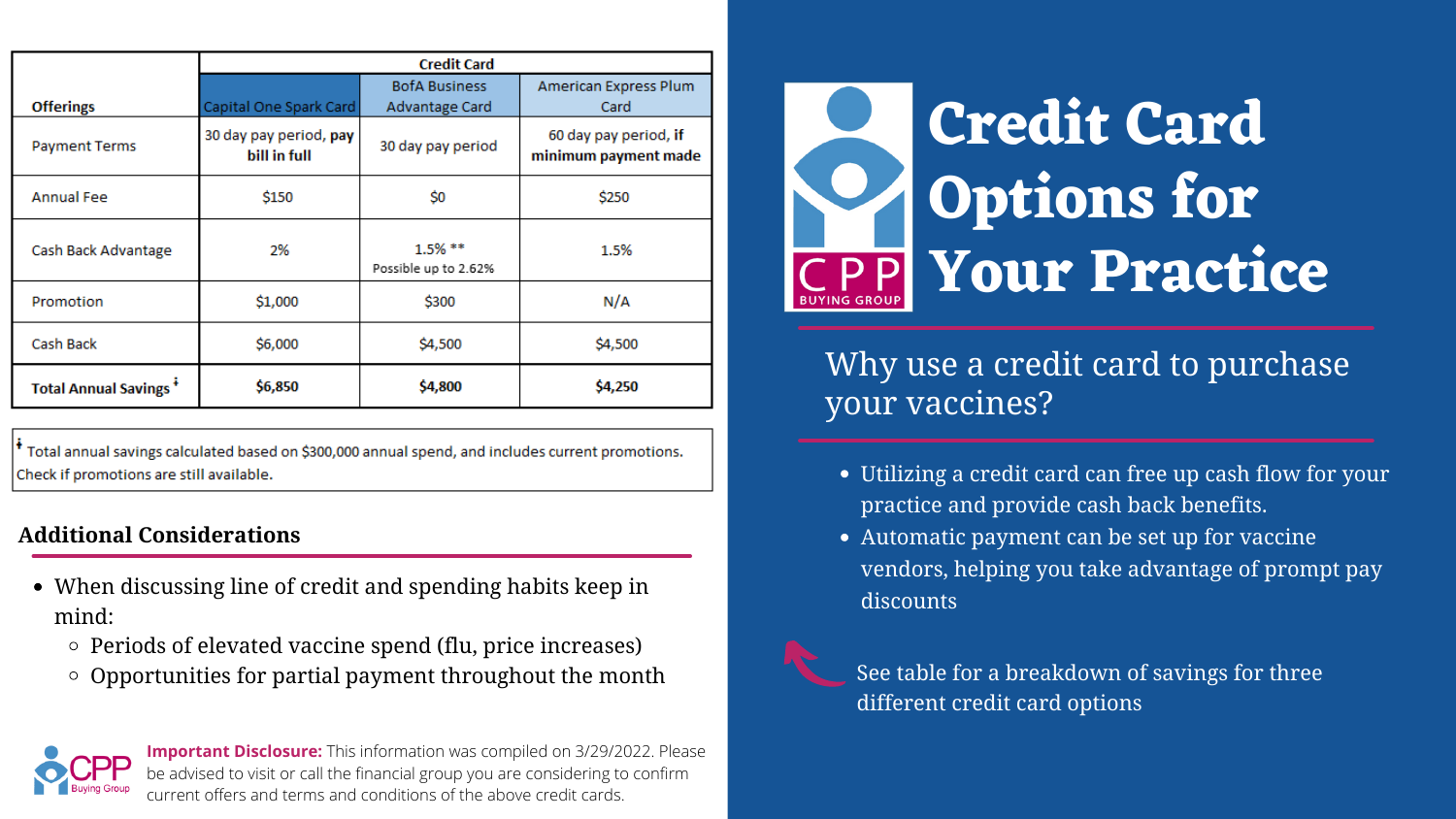|                              | <b>Credit Card</b>                     |                                    |                                               |
|------------------------------|----------------------------------------|------------------------------------|-----------------------------------------------|
|                              |                                        | <b>BofA Business</b>               | American Express Plum                         |
| <b>Offerings</b>             | Capital One Spark Card                 | Advantage Card                     | Card                                          |
| <b>Payment Terms</b>         | 30 day pay period, pay<br>bill in full | 30 day pay period                  | 60 day pay period, if<br>minimum payment made |
| <b>Annual Fee</b>            | <b>\$150</b>                           | \$0                                | \$250                                         |
| Cash Back Advantage          | 2%                                     | $1.5\%$ **<br>Possible up to 2.62% | 1.5%                                          |
| <b>Promotion</b>             | \$1,000                                | \$300                              | N/A                                           |
| Cash Back                    | \$6,000                                | \$4,500                            | \$4,500                                       |
| <b>Total Annual Savings*</b> | \$6,850                                | \$4,800                            | \$4,250                                       |

<sup>†</sup> Total annual savings calculated based on \$300,000 annual spend, and includes current promotions. Check if promotions are still available.

Utilizing a credit card can free up cash flow for your practice and provide cash back benefits. Automatic payment can be set up for vaccine vendors, helping you take advantage of prompt pay discounts

# **Credit Card Options for Your Practice**

## Why use a credit card to purchase your vaccines?

- 
- 
- When discussing line of credit and spending habits keep in mind:
	- $\circ$  Periods of elevated vaccine spend (flu, price increases)
	- $\circ$  Opportunities for partial payment throughout the month  $\bullet$  See table for a breakdown of savings for three



**Important Disclosure:** This information was compiled on 3/29/2022. Please be advised to visit or call the financial group you are considering to confirm current offers and terms and conditions of the above credit cards.



## **Additional Considerations**

different credit card options